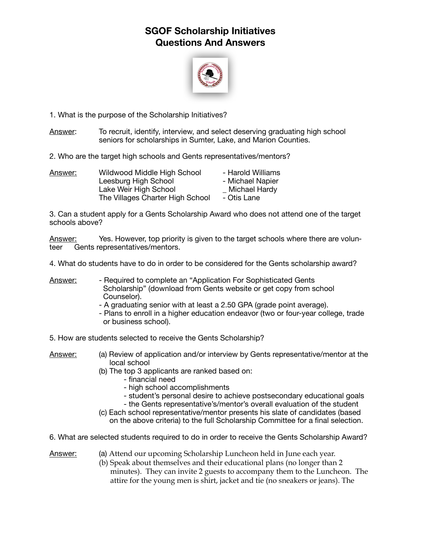## **SGOF Scholarship Initiatives Questions And Answers**



1. What is the purpose of the Scholarship Initiatives?

Answer: To recruit, identify, interview, and select deserving graduating high school seniors for scholarships in Sumter, Lake, and Marion Counties.

2. Who are the target high schools and Gents representatives/mentors?

| <u>Answer:</u> | Wildwood Middle High School      | - Harold Williams |  |
|----------------|----------------------------------|-------------------|--|
|                | Leesburg High School             | - Michael Napier  |  |
|                | Lake Weir High School            | Michael Hardy     |  |
|                | The Villages Charter High School | - Otis Lane       |  |

3. Can a student apply for a Gents Scholarship Award who does not attend one of the target schools above?

Answer: Yes. However, top priority is given to the target schools where there are volunteer Gents representatives/mentors.

4. What do students have to do in order to be considered for the Gents scholarship award?

- Answer: Required to complete an "Application For Sophisticated Gents Scholarship" (download from Gents website or get copy from school Counselor).
	- A graduating senior with at least a 2.50 GPA (grade point average).
	- Plans to enroll in a higher education endeavor (two or four-year college, trade or business school).

5. How are students selected to receive the Gents Scholarship?

Answer: (a) Review of application and/or interview by Gents representative/mentor at the local school

- (b) The top 3 applicants are ranked based on:
	- financial need
	- high school accomplishments
	- student's personal desire to achieve postsecondary educational goals
	- the Gents representative's/mentor's overall evaluation of the student
- (c) Each school representative/mentor presents his slate of candidates (based on the above criteria) to the full Scholarship Committee for a final selection.

6. What are selected students required to do in order to receive the Gents Scholarship Award?

Answer: (a) Attend our upcoming Scholarship Luncheon held in June each year.

 (b) Speak about themselves and their educational plans (no longer than 2 minutes). They can invite 2 guests to accompany them to the Luncheon. The attire for the young men is shirt, jacket and tie (no sneakers or jeans). The